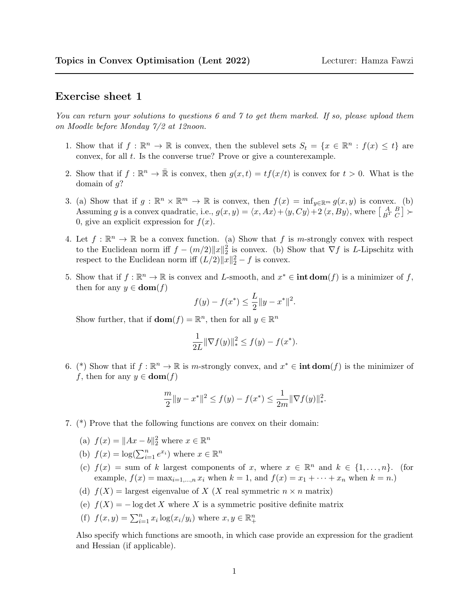## Exercise sheet 1

You can return your solutions to questions 6 and 7 to get them marked. If so, please upload them on Moodle before Monday 7/2 at 12noon.

- 1. Show that if  $f : \mathbb{R}^n \to \mathbb{R}$  is convex, then the sublevel sets  $S_t = \{x \in \mathbb{R}^n : f(x) \leq t\}$  are convex, for all  $t$ . Is the converse true? Prove or give a counterexample.
- 2. Show that if  $f: \mathbb{R}^n \to \bar{\mathbb{R}}$  is convex, then  $g(x,t) = tf(x/t)$  is convex for  $t > 0$ . What is the domain of  $q$ ?
- 3. (a) Show that if  $g : \mathbb{R}^n \times \mathbb{R}^m \to \mathbb{R}$  is convex, then  $f(x) = \inf_{y \in \mathbb{R}^m} g(x, y)$  is convex. (b) Assuming g is a convex quadratic, i.e.,  $g(x, y) = \langle x, Ax \rangle + \langle y, Cy \rangle + 2 \langle x, By \rangle$ , where  $\begin{bmatrix} A & B \\ B^T & C \end{bmatrix}$ 0, give an explicit expression for  $f(x)$ .
- 4. Let  $f : \mathbb{R}^n \to \mathbb{R}$  be a convex function. (a) Show that f is m-strongly convex with respect to the Euclidean norm iff  $f - (m/2) ||x||_2^2$  is convex. (b) Show that  $\nabla f$  is L-Lipschitz with respect to the Euclidean norm iff  $(L/2) ||x||_2^2 - f$  is convex.
- 5. Show that if  $f: \mathbb{R}^n \to \mathbb{R}$  is convex and L-smooth, and  $x^* \in \text{int dom}(f)$  is a minimizer of f, then for any  $y \in \textbf{dom}(f)$

$$
f(y) - f(x^*) \le \frac{L}{2} \|y - x^*\|^2.
$$

Show further, that if  $\textbf{dom}(f) = \mathbb{R}^n$ , then for all  $y \in \mathbb{R}^n$ 

$$
\frac{1}{2L} \|\nabla f(y)\|_{*}^{2} \le f(y) - f(x^{*}).
$$

6. (\*) Show that if  $f : \mathbb{R}^n \to \mathbb{R}$  is m-strongly convex, and  $x^* \in \text{int dom}(f)$  is the minimizer of f, then for any  $y \in \textbf{dom}(f)$ 

$$
\frac{m}{2}||y - x^*||^2 \le f(y) - f(x^*) \le \frac{1}{2m}||\nabla f(y)||_*^2.
$$

- 7. (\*) Prove that the following functions are convex on their domain:
	- (a)  $f(x) = ||Ax b||_2^2$  where  $x \in \mathbb{R}^n$
	- (b)  $f(x) = \log(\sum_{i=1}^{n} e^{x_i})$  where  $x \in \mathbb{R}^n$
	- (c)  $f(x) = \text{sum of } k$  largest components of x, where  $x \in \mathbb{R}^n$  and  $k \in \{1, ..., n\}$ . (for example,  $f(x) = \max_{i=1,...,n} x_i$  when  $k = 1$ , and  $f(x) = x_1 + \cdots + x_n$  when  $k = n$ .
	- (d)  $f(X) =$  largest eigenvalue of X (X real symmetric  $n \times n$  matrix)
	- (e)  $f(X) = -\log \det X$  where X is a symmetric positive definite matrix
	- (f)  $f(x, y) = \sum_{i=1}^{n} x_i \log(x_i/y_i)$  where  $x, y \in \mathbb{R}_+^n$

Also specify which functions are smooth, in which case provide an expression for the gradient and Hessian (if applicable).